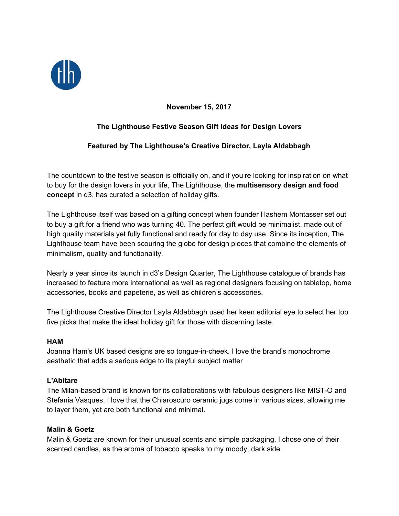

## **November 15, 2017**

# **The Lighthouse Festive Season Gift Ideas for Design Lovers**

### **Featured by The Lighthouse's Creative Director, Layla Aldabbagh**

The countdown to the festive season is officially on, and if you're looking for inspiration on what to buy for the design lovers in your life, The Lighthouse, the **multisensory design and food concept** in d3, has curated a selection of holiday gifts.

The Lighthouse itself was based on a gifting concept when founder Hashem Montasser set out to buy a gift for a friend who was turning 40. The perfect gift would be minimalist, made out of high quality materials yet fully functional and ready for day to day use. Since its inception, The Lighthouse team have been scouring the globe for design pieces that combine the elements of minimalism, quality and functionality.

Nearly a year since its launch in d3's Design Quarter, The Lighthouse catalogue of brands has increased to feature more international as well as regional designers focusing on tabletop, home accessories, books and papeterie, as well as children's accessories.

The Lighthouse Creative Director Layla Aldabbagh used her keen editorial eye to select her top five picks that make the ideal holiday gift for those with discerning taste.

#### **HAM**

Joanna Ham's UK based designs are so tongue-in-cheek. I love the brand's monochrome aesthetic that adds a serious edge to its playful subject matter

#### **L'Abitare**

The Milan-based brand is known for its collaborations with fabulous designers like MIST-O and Stefania Vasques. I love that the Chiaroscuro ceramic jugs come in various sizes, allowing me to layer them, yet are both functional and minimal.

#### **Malin & Goetz**

Malin & Goetz are known for their unusual scents and simple packaging. I chose one of their scented candles, as the aroma of tobacco speaks to my moody, dark side.